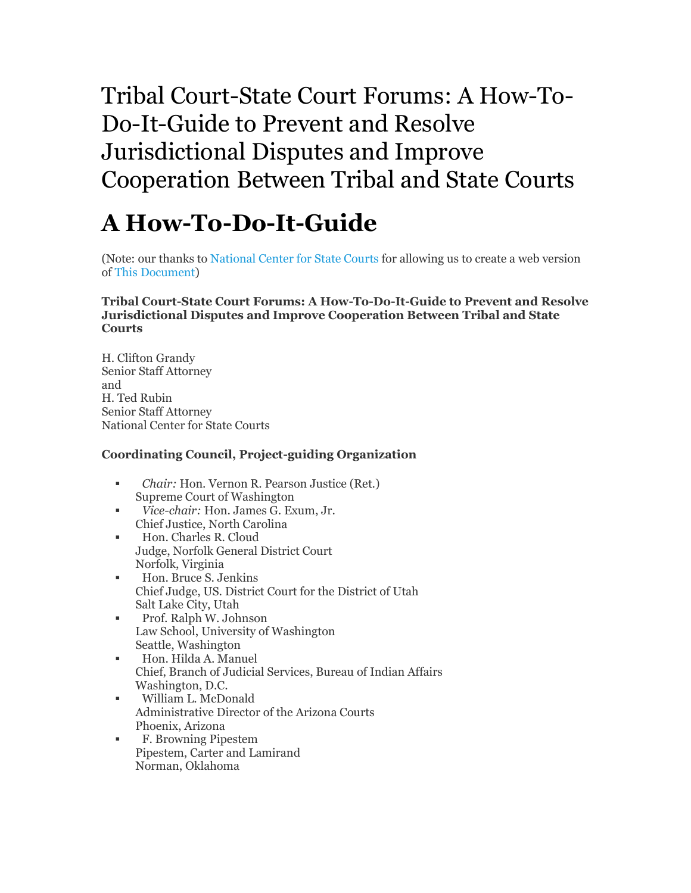# Tribal Court-State Court Forums: A How-To-Do-It-Guide to Prevent and Resolve Jurisdictional Disputes and Improve Cooperation Between Tribal and State Courts

# **A How-To-Do-It-Guide**

(Note: our thanks t[o National Center for State Courts f](http://www.ncsc.org/)or allowing us to create a web version o[f This Document\)](http://contentdm.ncsconline.org/cgi-bin/showfile.exe?CISOROOT=/spcts&CISOPTR=19)

#### **Tribal Court-State Court Forums: A How-To-Do-It-Guide to Prevent and Resolve Jurisdictional Disputes and Improve Cooperation Between Tribal and State Courts**

H. Clifton Grandy Senior Staff Attorney and H. Ted Rubin Senior Staff Attorney National Center for State Courts

#### **Coordinating Council, Project-guiding Organization**

- *Chair:* Hon. Vernon R. Pearson Justice (Ret.) Supreme Court of Washington
- *Vice-chair:* Hon. James G. Exum, Jr. Chief Justice, North Carolina
- **Hon.** Charles R. Cloud Judge, Norfolk General District Court Norfolk, Virginia
- Hon. Bruce S. Jenkins Chief Judge, US. District Court for the District of Utah Salt Lake City, Utah
- **Prof. Ralph W. Johnson** Law School, University of Washington Seattle, Washington
- Hon. Hilda A. Manuel Chief, Branch of Judicial Services, Bureau of Indian Affairs Washington, D.C.
- William L. McDonald Administrative Director of the Arizona Courts Phoenix, Arizona
- F. Browning Pipestem Pipestem, Carter and Lamirand Norman, Oklahoma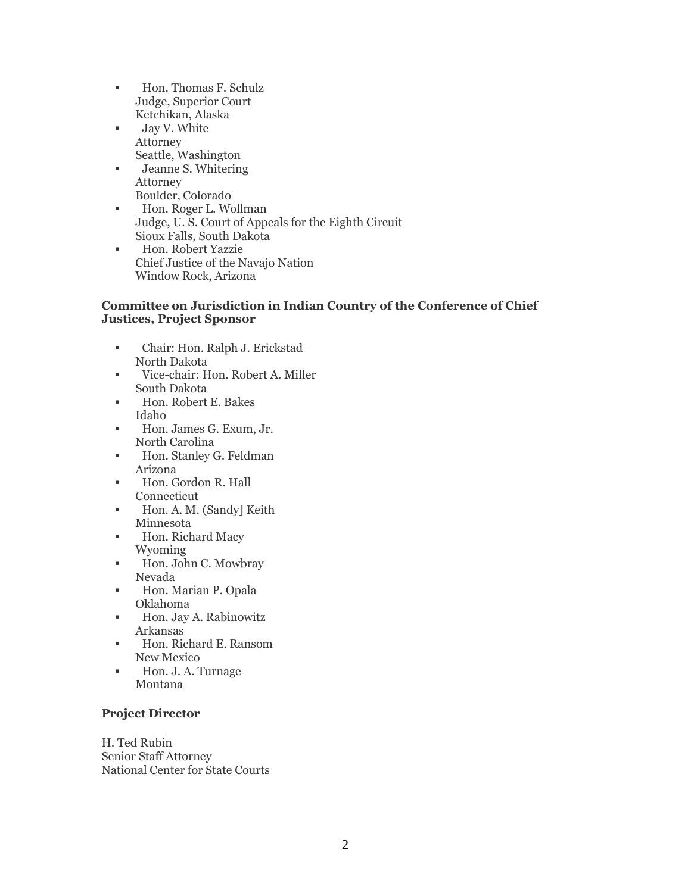- Hon. Thomas F. Schulz Judge, Superior Court Ketchikan, Alaska
- Jay V. White Attorney Seattle, Washington
- Jeanne S. Whitering Attorney Boulder, Colorado
- **Hon. Roger L. Wollman** Judge, U. S. Court of Appeals for the Eighth Circuit Sioux Falls, South Dakota
- **Hon. Robert Yazzie** Chief Justice of the Navajo Nation Window Rock, Arizona

#### **Committee on Jurisdiction in Indian Country of the Conference of Chief Justices, Project Sponsor**

- Chair: Hon. Ralph J. Erickstad North Dakota
- Vice-chair: Hon. Robert A. Miller South Dakota
- Hon. Robert E. Bakes Idaho
- Hon. James G. Exum, Jr. North Carolina
- **Hon.** Stanley G. Feldman Arizona
- Hon. Gordon R. Hall Connecticut
- Hon. A. M. (Sandy) Keith Minnesota
- **Hon.** Richard Macy Wyoming
- Hon. John C. Mowbray Nevada
- Hon. Marian P. Opala Oklahoma
- Hon. Jay A. Rabinowitz Arkansas
- Hon. Richard E. Ransom New Mexico
- Hon. J. A. Turnage Montana

#### **Project Director**

H. Ted Rubin Senior Staff Attorney National Center for State Courts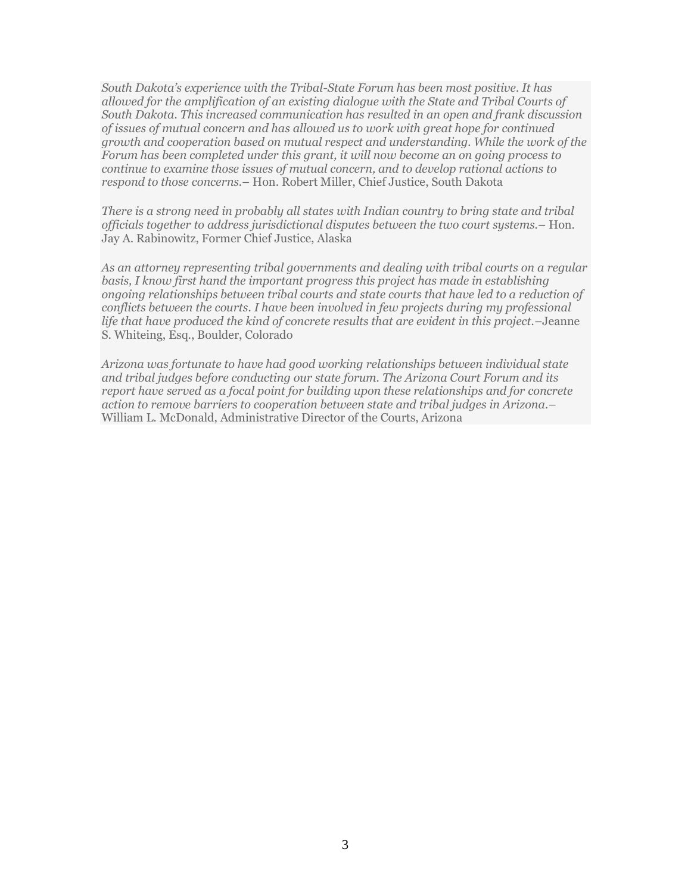*South Dakota's experience with the Tribal-State Forum has been most positive. It has allowed for the amplification of an existing dialogue with the State and Tribal Courts of South Dakota. This increased communication has resulted in an open and frank discussion of issues of mutual concern and has allowed us to work with great hope for continued growth and cooperation based on mutual respect and understanding. While the work of the Forum has been completed under this grant, it will now become an on going process to continue to examine those issues of mutual concern, and to develop rational actions to respond to those concerns.*– Hon. Robert Miller, Chief Justice, South Dakota

*There is a strong need in probably all states with Indian country to bring state and tribal officials together to address jurisdictional disputes between the two court systems.*– Hon. Jay A. Rabinowitz, Former Chief Justice, Alaska

*As an attorney representing tribal governments and dealing with tribal courts on a regular*  basis, I know first hand the important progress this project has made in establishing *ongoing relationships between tribal courts and state courts that have led to a reduction of conflicts between the courts. I have been involved in few projects during my professional life that have produced the kind of concrete results that are evident in this project.*–Jeanne S. Whiteing, Esq., Boulder, Colorado

*Arizona was fortunate to have had good working relationships between individual state and tribal judges before conducting our state forum. The Arizona Court Forum and its report have served as a focal point for building upon these relationships and for concrete action to remove barriers to cooperation between state and tribal judges in Arizona.*– William L. McDonald, Administrative Director of the Courts, Arizona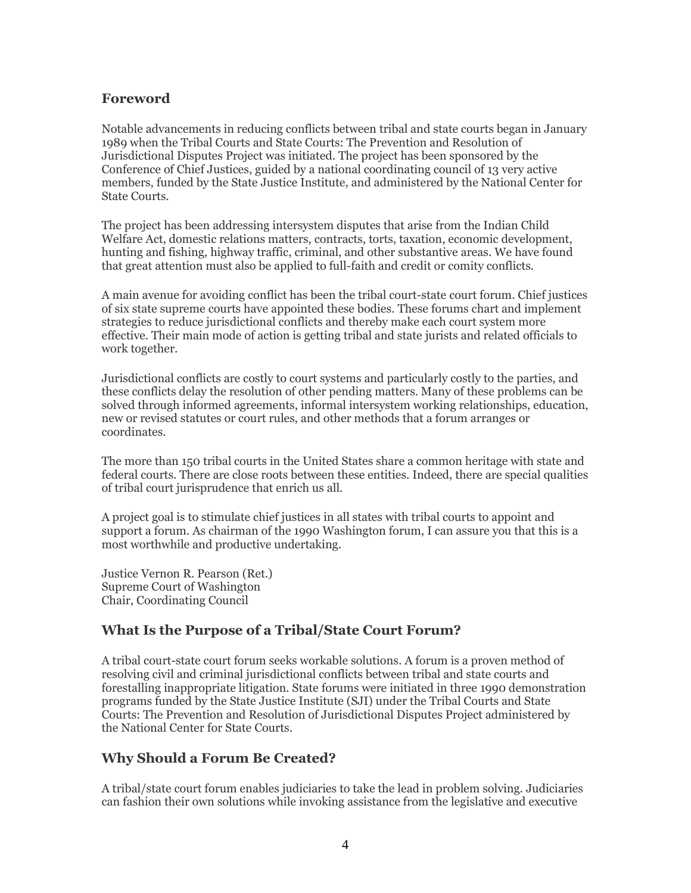#### **Foreword**

Notable advancements in reducing conflicts between tribal and state courts began in January 1989 when the Tribal Courts and State Courts: The Prevention and Resolution of Jurisdictional Disputes Project was initiated. The project has been sponsored by the Conference of Chief Justices, guided by a national coordinating council of 13 very active members, funded by the State Justice Institute, and administered by the National Center for State Courts.

The project has been addressing intersystem disputes that arise from the Indian Child Welfare Act, domestic relations matters, contracts, torts, taxation, economic development, hunting and fishing, highway traffic, criminal, and other substantive areas. We have found that great attention must also be applied to full-faith and credit or comity conflicts.

A main avenue for avoiding conflict has been the tribal court-state court forum. Chief justices of six state supreme courts have appointed these bodies. These forums chart and implement strategies to reduce jurisdictional conflicts and thereby make each court system more effective. Their main mode of action is getting tribal and state jurists and related officials to work together.

Jurisdictional conflicts are costly to court systems and particularly costly to the parties, and these conflicts delay the resolution of other pending matters. Many of these problems can be solved through informed agreements, informal intersystem working relationships, education, new or revised statutes or court rules, and other methods that a forum arranges or coordinates.

The more than 150 tribal courts in the United States share a common heritage with state and federal courts. There are close roots between these entities. Indeed, there are special qualities of tribal court jurisprudence that enrich us all.

A project goal is to stimulate chief justices in all states with tribal courts to appoint and support a forum. As chairman of the 1990 Washington forum, I can assure you that this is a most worthwhile and productive undertaking.

Justice Vernon R. Pearson (Ret.) Supreme Court of Washington Chair, Coordinating Council

#### **What Is the Purpose of a Tribal/State Court Forum?**

A tribal court-state court forum seeks workable solutions. A forum is a proven method of resolving civil and criminal jurisdictional conflicts between tribal and state courts and forestalling inappropriate litigation. State forums were initiated in three 1990 demonstration programs funded by the State Justice Institute (SJI) under the Tribal Courts and State Courts: The Prevention and Resolution of Jurisdictional Disputes Project administered by the National Center for State Courts.

## **Why Should a Forum Be Created?**

A tribal/state court forum enables judiciaries to take the lead in problem solving. Judiciaries can fashion their own solutions while invoking assistance from the legislative and executive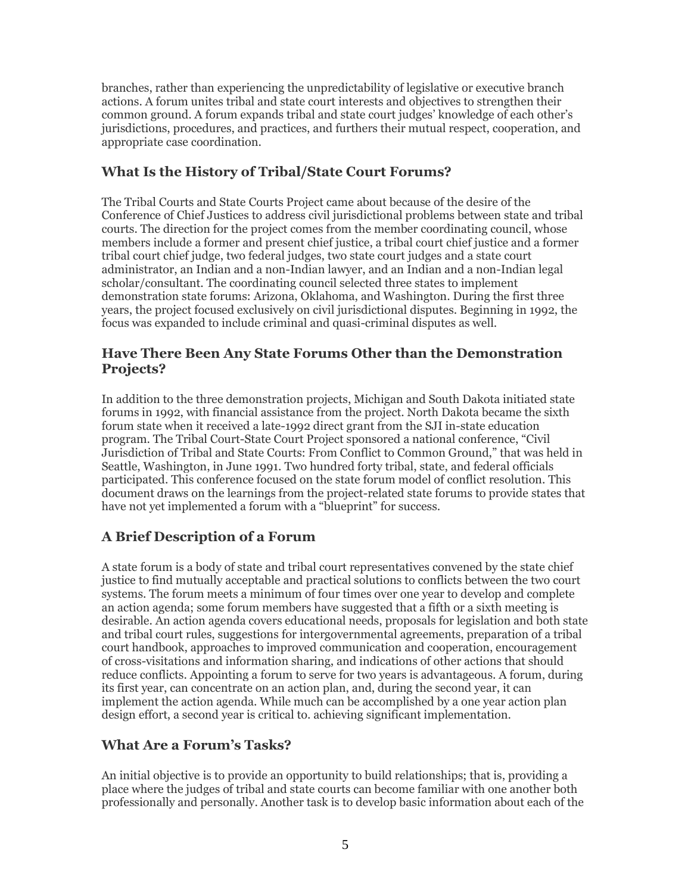branches, rather than experiencing the unpredictability of legislative or executive branch actions. A forum unites tribal and state court interests and objectives to strengthen their common ground. A forum expands tribal and state court judges' knowledge of each other's jurisdictions, procedures, and practices, and furthers their mutual respect, cooperation, and appropriate case coordination.

# **What Is the History of Tribal/State Court Forums?**

The Tribal Courts and State Courts Project came about because of the desire of the Conference of Chief Justices to address civil jurisdictional problems between state and tribal courts. The direction for the project comes from the member coordinating council, whose members include a former and present chief justice, a tribal court chief justice and a former tribal court chief judge, two federal judges, two state court judges and a state court administrator, an Indian and a non-Indian lawyer, and an Indian and a non-Indian legal scholar/consultant. The coordinating council selected three states to implement demonstration state forums: Arizona, Oklahoma, and Washington. During the first three years, the project focused exclusively on civil jurisdictional disputes. Beginning in 1992, the focus was expanded to include criminal and quasi-criminal disputes as well.

#### **Have There Been Any State Forums Other than the Demonstration Projects?**

In addition to the three demonstration projects, Michigan and South Dakota initiated state forums in 1992, with financial assistance from the project. North Dakota became the sixth forum state when it received a late-1992 direct grant from the SJI in-state education program. The Tribal Court-State Court Project sponsored a national conference, "Civil Jurisdiction of Tribal and State Courts: From Conflict to Common Ground," that was held in Seattle, Washington, in June 1991. Two hundred forty tribal, state, and federal officials participated. This conference focused on the state forum model of conflict resolution. This document draws on the learnings from the project-related state forums to provide states that have not yet implemented a forum with a "blueprint" for success.

# **A Brief Description of a Forum**

A state forum is a body of state and tribal court representatives convened by the state chief justice to find mutually acceptable and practical solutions to conflicts between the two court systems. The forum meets a minimum of four times over one year to develop and complete an action agenda; some forum members have suggested that a fifth or a sixth meeting is desirable. An action agenda covers educational needs, proposals for legislation and both state and tribal court rules, suggestions for intergovernmental agreements, preparation of a tribal court handbook, approaches to improved communication and cooperation, encouragement of cross-visitations and information sharing, and indications of other actions that should reduce conflicts. Appointing a forum to serve for two years is advantageous. A forum, during its first year, can concentrate on an action plan, and, during the second year, it can implement the action agenda. While much can be accomplished by a one year action plan design effort, a second year is critical to. achieving significant implementation.

## **What Are a Forum's Tasks?**

An initial objective is to provide an opportunity to build relationships; that is, providing a place where the judges of tribal and state courts can become familiar with one another both professionally and personally. Another task is to develop basic information about each of the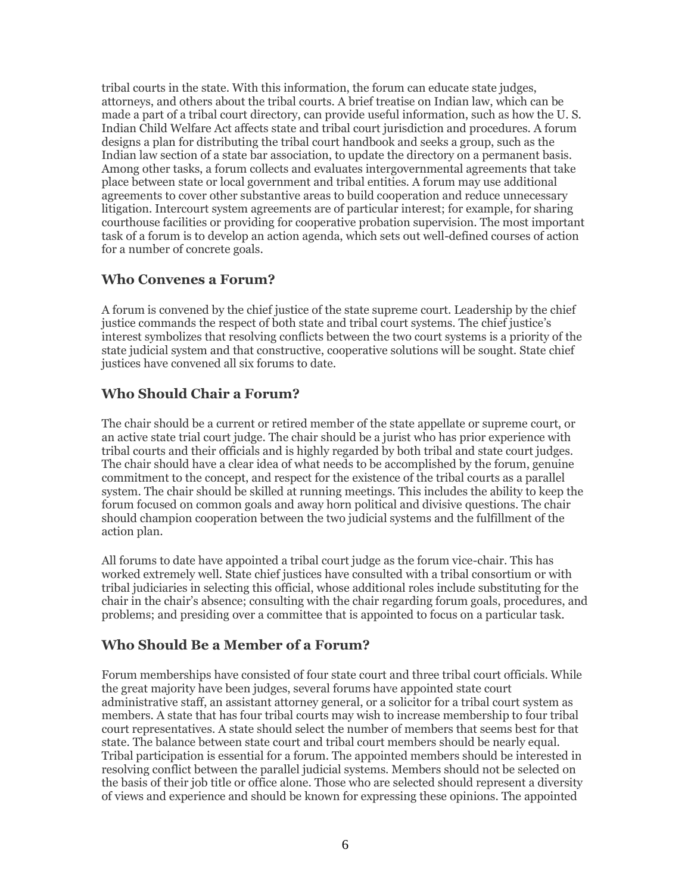tribal courts in the state. With this information, the forum can educate state judges, attorneys, and others about the tribal courts. A brief treatise on Indian law, which can be made a part of a tribal court directory, can provide useful information, such as how the U. S. Indian Child Welfare Act affects state and tribal court jurisdiction and procedures. A forum designs a plan for distributing the tribal court handbook and seeks a group, such as the Indian law section of a state bar association, to update the directory on a permanent basis. Among other tasks, a forum collects and evaluates intergovernmental agreements that take place between state or local government and tribal entities. A forum may use additional agreements to cover other substantive areas to build cooperation and reduce unnecessary litigation. Intercourt system agreements are of particular interest; for example, for sharing courthouse facilities or providing for cooperative probation supervision. The most important task of a forum is to develop an action agenda, which sets out well-defined courses of action for a number of concrete goals.

#### **Who Convenes a Forum?**

A forum is convened by the chief justice of the state supreme court. Leadership by the chief justice commands the respect of both state and tribal court systems. The chief justice's interest symbolizes that resolving conflicts between the two court systems is a priority of the state judicial system and that constructive, cooperative solutions will be sought. State chief justices have convened all six forums to date.

## **Who Should Chair a Forum?**

The chair should be a current or retired member of the state appellate or supreme court, or an active state trial court judge. The chair should be a jurist who has prior experience with tribal courts and their officials and is highly regarded by both tribal and state court judges. The chair should have a clear idea of what needs to be accomplished by the forum, genuine commitment to the concept, and respect for the existence of the tribal courts as a parallel system. The chair should be skilled at running meetings. This includes the ability to keep the forum focused on common goals and away horn political and divisive questions. The chair should champion cooperation between the two judicial systems and the fulfillment of the action plan.

All forums to date have appointed a tribal court judge as the forum vice-chair. This has worked extremely well. State chief justices have consulted with a tribal consortium or with tribal judiciaries in selecting this official, whose additional roles include substituting for the chair in the chair's absence; consulting with the chair regarding forum goals, procedures, and problems; and presiding over a committee that is appointed to focus on a particular task.

## **Who Should Be a Member of a Forum?**

Forum memberships have consisted of four state court and three tribal court officials. While the great majority have been judges, several forums have appointed state court administrative staff, an assistant attorney general, or a solicitor for a tribal court system as members. A state that has four tribal courts may wish to increase membership to four tribal court representatives. A state should select the number of members that seems best for that state. The balance between state court and tribal court members should be nearly equal. Tribal participation is essential for a forum. The appointed members should be interested in resolving conflict between the parallel judicial systems. Members should not be selected on the basis of their job title or office alone. Those who are selected should represent a diversity of views and experience and should be known for expressing these opinions. The appointed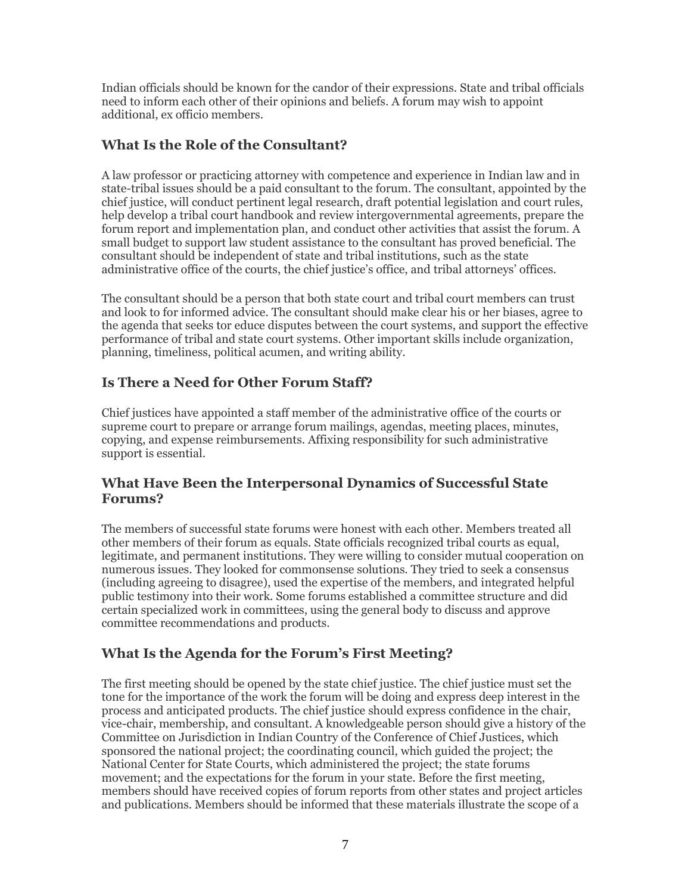Indian officials should be known for the candor of their expressions. State and tribal officials need to inform each other of their opinions and beliefs. A forum may wish to appoint additional, ex officio members.

# **What Is the Role of the Consultant?**

A law professor or practicing attorney with competence and experience in Indian law and in state-tribal issues should be a paid consultant to the forum. The consultant, appointed by the chief justice, will conduct pertinent legal research, draft potential legislation and court rules, help develop a tribal court handbook and review intergovernmental agreements, prepare the forum report and implementation plan, and conduct other activities that assist the forum. A small budget to support law student assistance to the consultant has proved beneficial. The consultant should be independent of state and tribal institutions, such as the state administrative office of the courts, the chief justice's office, and tribal attorneys' offices.

The consultant should be a person that both state court and tribal court members can trust and look to for informed advice. The consultant should make clear his or her biases, agree to the agenda that seeks tor educe disputes between the court systems, and support the effective performance of tribal and state court systems. Other important skills include organization, planning, timeliness, political acumen, and writing ability.

# **Is There a Need for Other Forum Staff?**

Chief justices have appointed a staff member of the administrative office of the courts or supreme court to prepare or arrange forum mailings, agendas, meeting places, minutes, copying, and expense reimbursements. Affixing responsibility for such administrative support is essential.

#### **What Have Been the Interpersonal Dynamics of Successful State Forums?**

The members of successful state forums were honest with each other. Members treated all other members of their forum as equals. State officials recognized tribal courts as equal, legitimate, and permanent institutions. They were willing to consider mutual cooperation on numerous issues. They looked for commonsense solutions. They tried to seek a consensus (including agreeing to disagree), used the expertise of the members, and integrated helpful public testimony into their work. Some forums established a committee structure and did certain specialized work in committees, using the general body to discuss and approve committee recommendations and products.

# **What Is the Agenda for the Forum's First Meeting?**

The first meeting should be opened by the state chief justice. The chief justice must set the tone for the importance of the work the forum will be doing and express deep interest in the process and anticipated products. The chief justice should express confidence in the chair, vice-chair, membership, and consultant. A knowledgeable person should give a history of the Committee on Jurisdiction in Indian Country of the Conference of Chief Justices, which sponsored the national project; the coordinating council, which guided the project; the National Center for State Courts, which administered the project; the state forums movement; and the expectations for the forum in your state. Before the first meeting, members should have received copies of forum reports from other states and project articles and publications. Members should be informed that these materials illustrate the scope of a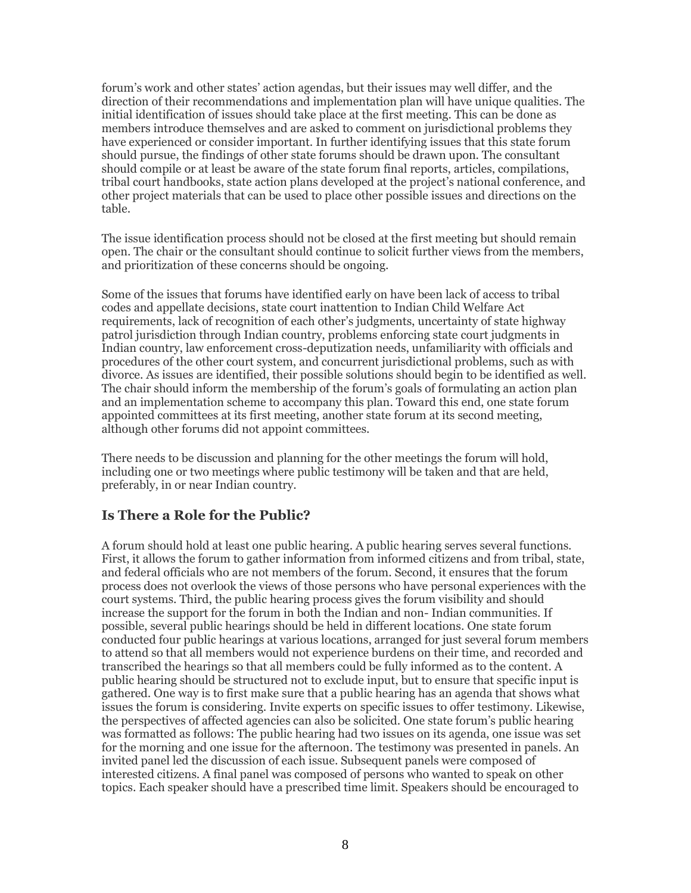forum's work and other states' action agendas, but their issues may well differ, and the direction of their recommendations and implementation plan will have unique qualities. The initial identification of issues should take place at the first meeting. This can be done as members introduce themselves and are asked to comment on jurisdictional problems they have experienced or consider important. In further identifying issues that this state forum should pursue, the findings of other state forums should be drawn upon. The consultant should compile or at least be aware of the state forum final reports, articles, compilations, tribal court handbooks, state action plans developed at the project's national conference, and other project materials that can be used to place other possible issues and directions on the table.

The issue identification process should not be closed at the first meeting but should remain open. The chair or the consultant should continue to solicit further views from the members, and prioritization of these concerns should be ongoing.

Some of the issues that forums have identified early on have been lack of access to tribal codes and appellate decisions, state court inattention to Indian Child Welfare Act requirements, lack of recognition of each other's judgments, uncertainty of state highway patrol jurisdiction through Indian country, problems enforcing state court judgments in Indian country, law enforcement cross-deputization needs, unfamiliarity with officials and procedures of the other court system, and concurrent jurisdictional problems, such as with divorce. As issues are identified, their possible solutions should begin to be identified as well. The chair should inform the membership of the forum's goals of formulating an action plan and an implementation scheme to accompany this plan. Toward this end, one state forum appointed committees at its first meeting, another state forum at its second meeting, although other forums did not appoint committees.

There needs to be discussion and planning for the other meetings the forum will hold, including one or two meetings where public testimony will be taken and that are held, preferably, in or near Indian country.

#### **Is There a Role for the Public?**

A forum should hold at least one public hearing. A public hearing serves several functions. First, it allows the forum to gather information from informed citizens and from tribal, state, and federal officials who are not members of the forum. Second, it ensures that the forum process does not overlook the views of those persons who have personal experiences with the court systems. Third, the public hearing process gives the forum visibility and should increase the support for the forum in both the Indian and non- Indian communities. If possible, several public hearings should be held in different locations. One state forum conducted four public hearings at various locations, arranged for just several forum members to attend so that all members would not experience burdens on their time, and recorded and transcribed the hearings so that all members could be fully informed as to the content. A public hearing should be structured not to exclude input, but to ensure that specific input is gathered. One way is to first make sure that a public hearing has an agenda that shows what issues the forum is considering. Invite experts on specific issues to offer testimony. Likewise, the perspectives of affected agencies can also be solicited. One state forum's public hearing was formatted as follows: The public hearing had two issues on its agenda, one issue was set for the morning and one issue for the afternoon. The testimony was presented in panels. An invited panel led the discussion of each issue. Subsequent panels were composed of interested citizens. A final panel was composed of persons who wanted to speak on other topics. Each speaker should have a prescribed time limit. Speakers should be encouraged to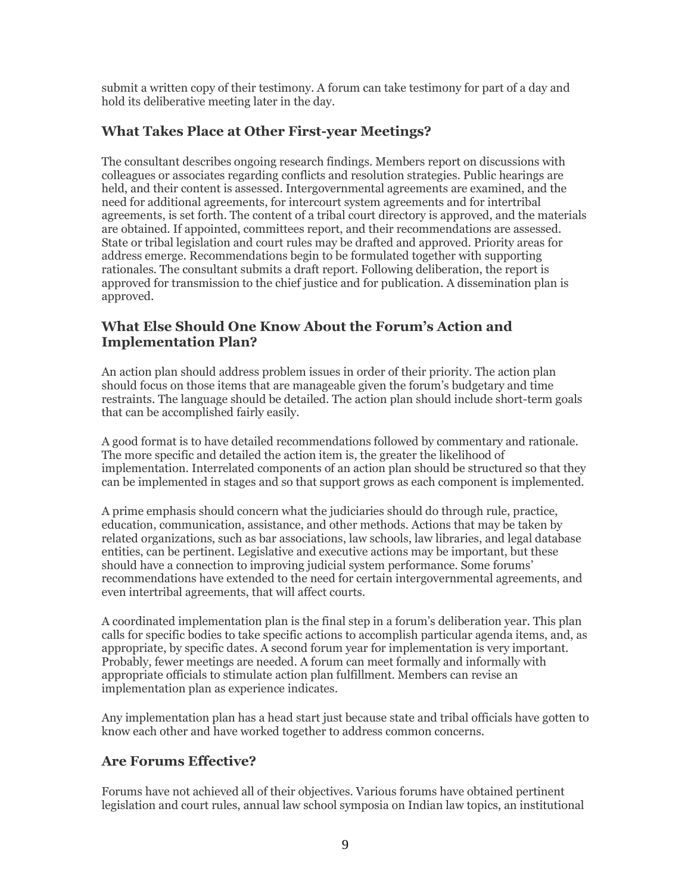submit a written copy of their testimony. A forum can take testimony for part of a day and hold its deliberative meeting later in the day.

# **What Takes Place at Other First-year Meetings?**

The consultant describes ongoing research findings. Members report on discussions with colleagues or associates regarding conflicts and resolution strategies. Public hearings are held, and their content is assessed. Intergovernmental agreements are examined, and the need for additional agreements, for intercourt system agreements and for intertribal agreements, is set forth. The content of a tribal court directory is approved, and the materials are obtained. If appointed, committees report, and their recommendations are assessed. State or tribal legislation and court rules may be drafted and approved. Priority areas for address emerge. Recommendations begin to be formulated together with supporting rationales. The consultant submits a draft report. Following deliberation, the report is approved for transmission to the chief justice and for publication. A dissemination plan is approved.

#### **What Else Should One Know About the Forum's Action and Implementation Plan?**

An action plan should address problem issues in order of their priority. The action plan should focus on those items that are manageable given the forum's budgetary and time restraints. The language should be detailed. The action plan should include short-term goals that can be accomplished fairly easily.

A good format is to have detailed recommendations followed by commentary and rationale. The more specific and detailed the action item is, the greater the likelihood of implementation. Interrelated components of an action plan should be structured so that they can be implemented in stages and so that support grows as each component is implemented.

A prime emphasis should concern what the judiciaries should do through rule, practice, education, communication, assistance, and other methods. Actions that may be taken by related organizations, such as bar associations, law schools, law libraries, and legal database entities, can be pertinent. Legislative and executive actions may be important, but these should have a connection to improving judicial system performance. Some forums' recommendations have extended to the need for certain intergovernmental agreements, and even intertribal agreements, that will affect courts.

A coordinated implementation plan is the final step in a forum's deliberation year. This plan calls for specific bodies to take specific actions to accomplish particular agenda items, and, as appropriate, by specific dates. A second forum year for implementation is very important. Probably, fewer meetings are needed. A forum can meet formally and informally with appropriate officials to stimulate action plan fulfillment. Members can revise an implementation plan as experience indicates.

Any implementation plan has a head start just because state and tribal officials have gotten to know each other and have worked together to address common concerns.

## **Are Forums Effective?**

Forums have not achieved all of their objectives. Various forums have obtained pertinent legislation and court rules, annual law school symposia on Indian law topics, an institutional